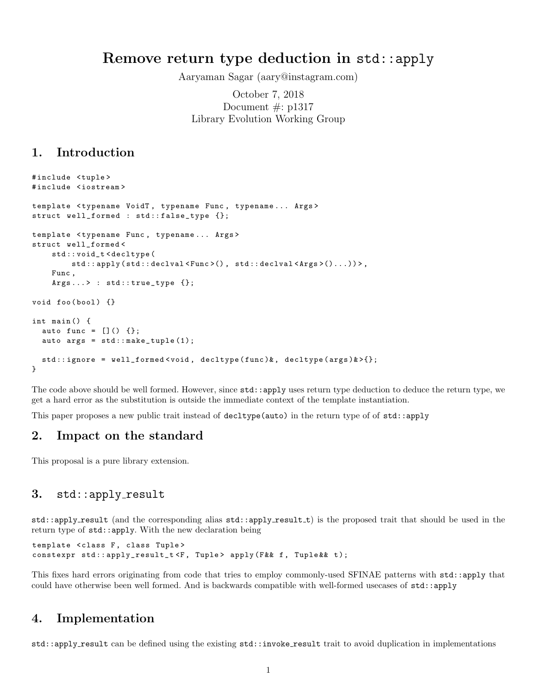# Remove return type deduction in std::apply

Aaryaman Sagar (aary@instagram.com)

October 7, 2018 Document  $\#$ : p1317 Library Evolution Working Group

# 1. Introduction

```
#include <tuple>
# include < iostream >
template < typename VoidT, typename Func, typename... Args>
struct well_formed : std::false_type {};
template < typename Func , typename ... Args >
struct well_formed <
    std :: void_t < decltype (
         std :: apply ( std :: declval < Func >() , std :: declval < Args >()...)) > ,
    Func ,
    Args...> : std::true_type {};
void foo (bool) {}
int main () {
  auto func = []() {};
  auto args = std::make\_tuple(1);std :: ignore = well_formed < void , decltype ( func )& , decltype ( args )& >{};
}
```
The code above should be well formed. However, since std::apply uses return type deduction to deduce the return type, we get a hard error as the substitution is outside the immediate context of the template instantiation.

This paper proposes a new public trait instead of decltype(auto) in the return type of of std::apply

### 2. Impact on the standard

This proposal is a pure library extension.

#### 3. std::apply\_result

std::apply\_result (and the corresponding alias std::apply\_result\_t) is the proposed trait that should be used in the return type of std::apply. With the new declaration being

template < class F, class Tuple> constexpr std:: apply\_result\_t <F, Tuple> apply (F&& f, Tuple&& t);

This fixes hard errors originating from code that tries to employ commonly-used SFINAE patterns with std::apply that could have otherwise been well formed. And is backwards compatible with well-formed usecases of std::apply

# 4. Implementation

std::apply result can be defined using the existing std::invoke result trait to avoid duplication in implementations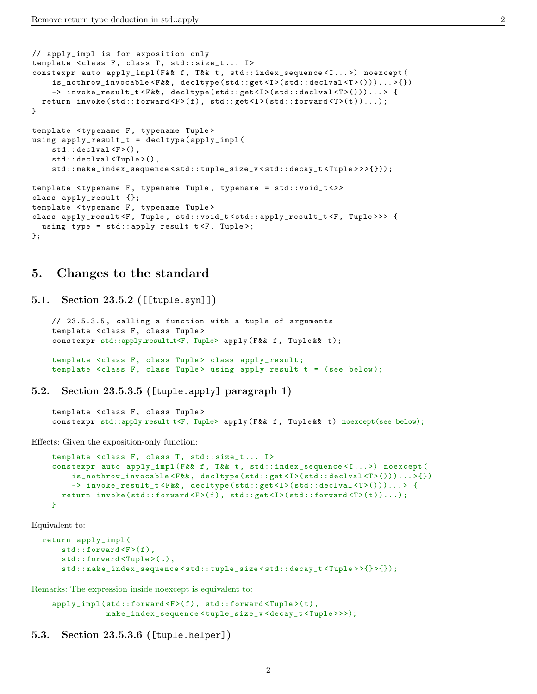```
// apply_impl is for exposition only
template < class F, class T, std:: size_t... I>
constexpr auto apply_impl (F&& f, T&& t, std::index_sequence<I...>) noexcept (
    is_nothrow_invocable < F && , decltype ( std :: get <I >( std :: declval <T >()))... >{})
    -> invoke_result_t<F&&, decltype(std::get<I>(std::declval<T>()))...> {
  return invoke(std::forward <F>(f), std::get <I>(std::forward <T>(t))...);
}
template < typename F, typename Tuple>
using apply_result_t = decltype ( apply_impl (
    std:: declval \langle F \rangle(),
    std::declval<Tuple>(),
    std :: make_index_sequence < std :: tuple_size_v < std :: decay_t < Tuple > > >{}));
template < typename F, typename Tuple, typename = std:: void_t <>>
class apply_result {};
template < typename F, typename Tuple>
class apply_result <F, Tuple, std:: void_t <std:: apply_result_t <F, Tuple >>> {
  using type = std::apply\_result\_t < F, Tuple>;
};
```
## 5. Changes to the standard

5.1. Section 23.5.2 ([[tuple.syn]])

```
// 23.5.3.5 , calling a function with a tuple of arguments
template <class F, class Tuple>
constexpr std::apply_result_t<F, Tuple> apply (F&& f, Tuple & t);
template <class F, class Tuple> class apply_result;
template < class F, class Tuple> using apply_result_t = (see below);
```
5.2. Section 23.5.3.5 ([tuple.apply] paragraph 1)

template <class F, class Tuple> constexpr std::apply\_result\_t<F, Tuple> apply(F&& f, Tuple&& t) noexcept(see below);

Effects: Given the exposition-only function:

```
template <class F, class T, std::size_t... I>
constexpr auto apply_impl (F&& f, T&& t, std::index_sequence<I...>) noexcept (
    is_nothrow_invocable < F && , decltype ( std :: get <I >( std :: declval <T >()))... >{})
    -> invoke_result_t <F&&, decltype (std::get <I>(std::declval <T>()))...> {
  return invoke(std::forward <F>(f), std::get <I>(std::forward <T>(t))...);
}
```
Equivalent to:

```
return apply_impl (
    std::forward <F>(f),
    std::forward<Tuple>(t),
    std :: make_index_sequence < std :: tuple_size < std :: decay_t < Tuple > >{} >{});
```
Remarks: The expression inside noexcept is equivalent to:

```
apply_impl(std::forward<F>(f), std::forward<Tuple>(t),
           make_index_sequence < tuple_size_v < decay_t < Tuple > > >);
```

```
5.3. Section 23.5.3.6 ([tuple.helper])
```